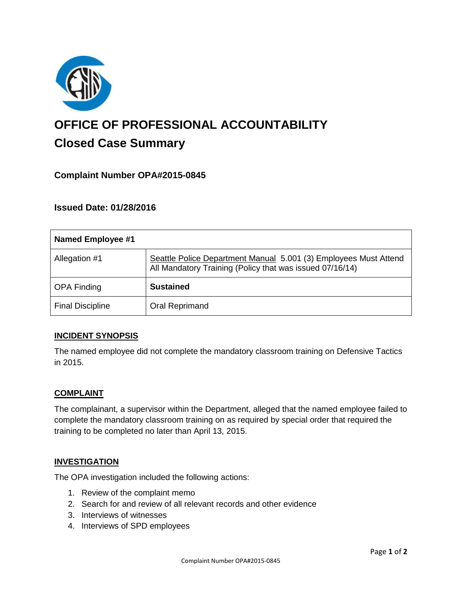

# **OFFICE OF PROFESSIONAL ACCOUNTABILITY Closed Case Summary**

# **Complaint Number OPA#2015-0845**

# **Issued Date: 01/28/2016**

| <b>Named Employee #1</b> |                                                                                                                              |
|--------------------------|------------------------------------------------------------------------------------------------------------------------------|
| Allegation #1            | Seattle Police Department Manual 5.001 (3) Employees Must Attend<br>All Mandatory Training (Policy that was issued 07/16/14) |
| <b>OPA Finding</b>       | <b>Sustained</b>                                                                                                             |
| <b>Final Discipline</b>  | <b>Oral Reprimand</b>                                                                                                        |

## **INCIDENT SYNOPSIS**

The named employee did not complete the mandatory classroom training on Defensive Tactics in 2015.

#### **COMPLAINT**

The complainant, a supervisor within the Department, alleged that the named employee failed to complete the mandatory classroom training on as required by special order that required the training to be completed no later than April 13, 2015.

#### **INVESTIGATION**

The OPA investigation included the following actions:

- 1. Review of the complaint memo
- 2. Search for and review of all relevant records and other evidence
- 3. Interviews of witnesses
- 4. Interviews of SPD employees